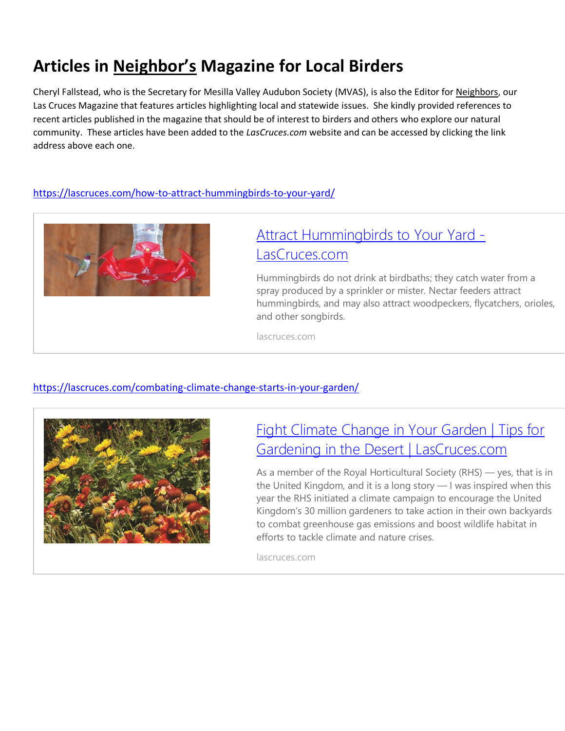# **Articles in Neighbor's Magazine for Local Birders**

Cheryl Fallstead, who is the Secretary for Mesilla Valley Audubon Society (MVAS), is also the Editor for Neighbors, our Las Cruces Magazine that features articles highlighting local and statewide issues. She kindly provided references to recent articles published in the magazine that should be of interest to birders and others who explore our natural community. These articles have been added to the *LasCruces.com* website and can be accessed by clicking the link address above each one.

#### [https://lascruces.com/how-to-attract-hummingbirds-to-your-yard/](https://nam12.safelinks.protection.outlook.com/?url=https%3A%2F%2Flascruces.com%2Fhow-to-attract-hummingbirds-to-your-yard%2F&data=04%7C01%7C%7C88586351d2b946df791d08da004e2ab6%7C84df9e7fe9f640afb435aaaaaaaaaaaa%7C1%7C0%7C637822632975308397%7CUnknown%7CTWFpbGZsb3d8eyJWIjoiMC4wLjAwMDAiLCJQIjoiV2luMzIiLCJBTiI6Ik1haWwiLCJXVCI6Mn0%3D%7C3000&sdata=QBgzNiV20me8DWX5X%2FCoFQ7COvDkcRdjsZiXxmuJQ2g%3D&reserved=0)



## Attract [Hummingbirds](https://nam12.safelinks.protection.outlook.com/?url=https%3A%2F%2Flascruces.com%2Fhow-to-attract-hummingbirds-to-your-yard%2F&data=04%7C01%7C%7C88586351d2b946df791d08da004e2ab6%7C84df9e7fe9f640afb435aaaaaaaaaaaa%7C1%7C0%7C637822632975308397%7CUnknown%7CTWFpbGZsb3d8eyJWIjoiMC4wLjAwMDAiLCJQIjoiV2luMzIiLCJBTiI6Ik1haWwiLCJXVCI6Mn0%3D%7C3000&sdata=QBgzNiV20me8DWX5X%2FCoFQ7COvDkcRdjsZiXxmuJQ2g%3D&reserved=0) to Your Yard - [LasCruces.com](https://nam12.safelinks.protection.outlook.com/?url=https%3A%2F%2Flascruces.com%2Fhow-to-attract-hummingbirds-to-your-yard%2F&data=04%7C01%7C%7C88586351d2b946df791d08da004e2ab6%7C84df9e7fe9f640afb435aaaaaaaaaaaa%7C1%7C0%7C637822632975308397%7CUnknown%7CTWFpbGZsb3d8eyJWIjoiMC4wLjAwMDAiLCJQIjoiV2luMzIiLCJBTiI6Ik1haWwiLCJXVCI6Mn0%3D%7C3000&sdata=QBgzNiV20me8DWX5X%2FCoFQ7COvDkcRdjsZiXxmuJQ2g%3D&reserved=0)

Hummingbirds do not drink at birdbaths; they catch water from a spray produced by a sprinkler or mister. Nectar feeders attract hummingbirds, and may also attract woodpeckers, flycatchers, orioles, and other songbirds.

lascruces.com

### [https://lascruces.com/combating-climate-change-starts-in-your-garden/](https://nam12.safelinks.protection.outlook.com/?url=https%3A%2F%2Flascruces.com%2Fcombating-climate-change-starts-in-your-garden%2F&data=04%7C01%7C%7C88586351d2b946df791d08da004e2ab6%7C84df9e7fe9f640afb435aaaaaaaaaaaa%7C1%7C0%7C637822632975308397%7CUnknown%7CTWFpbGZsb3d8eyJWIjoiMC4wLjAwMDAiLCJQIjoiV2luMzIiLCJBTiI6Ik1haWwiLCJXVCI6Mn0%3D%7C3000&sdata=8nt52zwFNCfuHp5DXZQIz3%2BefAIfe78D9yIUrNnuiMY%3D&reserved=0)



### Fight Climate [Change](https://nam12.safelinks.protection.outlook.com/?url=https%3A%2F%2Flascruces.com%2Fcombating-climate-change-starts-in-your-garden%2F&data=04%7C01%7C%7C88586351d2b946df791d08da004e2ab6%7C84df9e7fe9f640afb435aaaaaaaaaaaa%7C1%7C0%7C637822632975308397%7CUnknown%7CTWFpbGZsb3d8eyJWIjoiMC4wLjAwMDAiLCJQIjoiV2luMzIiLCJBTiI6Ik1haWwiLCJXVCI6Mn0%3D%7C3000&sdata=8nt52zwFNCfuHp5DXZQIz3%2BefAIfe78D9yIUrNnuiMY%3D&reserved=0) in Your Garden | Tips for Gardening in the Desert | [LasCruces.com](https://nam12.safelinks.protection.outlook.com/?url=https%3A%2F%2Flascruces.com%2Fcombating-climate-change-starts-in-your-garden%2F&data=04%7C01%7C%7C88586351d2b946df791d08da004e2ab6%7C84df9e7fe9f640afb435aaaaaaaaaaaa%7C1%7C0%7C637822632975308397%7CUnknown%7CTWFpbGZsb3d8eyJWIjoiMC4wLjAwMDAiLCJQIjoiV2luMzIiLCJBTiI6Ik1haWwiLCJXVCI6Mn0%3D%7C3000&sdata=8nt52zwFNCfuHp5DXZQIz3%2BefAIfe78D9yIUrNnuiMY%3D&reserved=0)

As a member of the Royal Horticultural Society (RHS) — yes, that is in the United Kingdom, and it is a long story — I was inspired when this year the RHS initiated a climate campaign to encourage the United Kingdom's 30 million gardeners to take action in their own backyards to combat greenhouse gas emissions and boost wildlife habitat in efforts to tackle climate and nature crises.

lascruces.com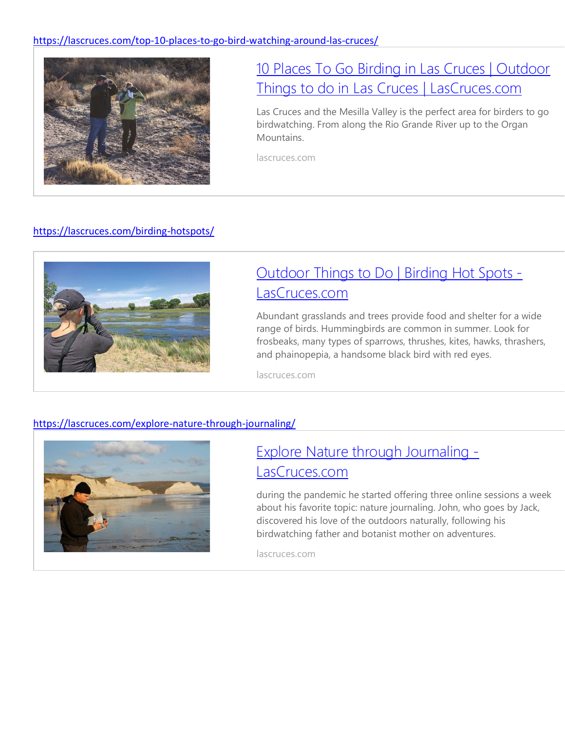

## 10 Places To Go Birding in Las Cruces | [Outdoor](https://nam12.safelinks.protection.outlook.com/?url=https%3A%2F%2Flascruces.com%2Ftop-10-places-to-go-bird-watching-around-las-cruces%2F&data=04%7C01%7C%7C88586351d2b946df791d08da004e2ab6%7C84df9e7fe9f640afb435aaaaaaaaaaaa%7C1%7C0%7C637822632975308397%7CUnknown%7CTWFpbGZsb3d8eyJWIjoiMC4wLjAwMDAiLCJQIjoiV2luMzIiLCJBTiI6Ik1haWwiLCJXVCI6Mn0%3D%7C3000&sdata=ic5Y7DV5q%2FxKKENNYnsJvUmPh80OlOLnssB5WF72nlw%3D&reserved=0) Things to do in Las Cruces | [LasCruces.com](https://nam12.safelinks.protection.outlook.com/?url=https%3A%2F%2Flascruces.com%2Ftop-10-places-to-go-bird-watching-around-las-cruces%2F&data=04%7C01%7C%7C88586351d2b946df791d08da004e2ab6%7C84df9e7fe9f640afb435aaaaaaaaaaaa%7C1%7C0%7C637822632975308397%7CUnknown%7CTWFpbGZsb3d8eyJWIjoiMC4wLjAwMDAiLCJQIjoiV2luMzIiLCJBTiI6Ik1haWwiLCJXVCI6Mn0%3D%7C3000&sdata=ic5Y7DV5q%2FxKKENNYnsJvUmPh80OlOLnssB5WF72nlw%3D&reserved=0)

Las Cruces and the Mesilla Valley is the perfect area for birders to go birdwatching. From along the Rio Grande River up to the Organ Mountains.

lascruces.com

### <https://lascruces.com/birding-hotspots/>



## [Outdoor](https://nam12.safelinks.protection.outlook.com/?url=https%3A%2F%2Flascruces.com%2Fbirding-hotspots%2F&data=04%7C01%7C%7C88586351d2b946df791d08da004e2ab6%7C84df9e7fe9f640afb435aaaaaaaaaaaa%7C1%7C0%7C637822632975308397%7CUnknown%7CTWFpbGZsb3d8eyJWIjoiMC4wLjAwMDAiLCJQIjoiV2luMzIiLCJBTiI6Ik1haWwiLCJXVCI6Mn0%3D%7C3000&sdata=EF%2FrYzifv2ldmXwDkFcAwchkql0qenv2NE4bSncDetw%3D&reserved=0) Things to Do | Birding Hot Spots - [LasCruces.com](https://nam12.safelinks.protection.outlook.com/?url=https%3A%2F%2Flascruces.com%2Fbirding-hotspots%2F&data=04%7C01%7C%7C88586351d2b946df791d08da004e2ab6%7C84df9e7fe9f640afb435aaaaaaaaaaaa%7C1%7C0%7C637822632975308397%7CUnknown%7CTWFpbGZsb3d8eyJWIjoiMC4wLjAwMDAiLCJQIjoiV2luMzIiLCJBTiI6Ik1haWwiLCJXVCI6Mn0%3D%7C3000&sdata=EF%2FrYzifv2ldmXwDkFcAwchkql0qenv2NE4bSncDetw%3D&reserved=0)

Abundant grasslands and trees provide food and shelter for a wide range of birds. Hummingbirds are common in summer. Look for frosbeaks, many types of sparrows, thrushes, kites, hawks, thrashers, and phainopepia, a handsome black bird with red eyes.

lascruces.com

#### [https://lascruces.com/explore-nature-through-journaling/](https://nam12.safelinks.protection.outlook.com/?url=https%3A%2F%2Flascruces.com%2Fexplore-nature-through-journaling%2F&data=04%7C01%7C%7C88586351d2b946df791d08da004e2ab6%7C84df9e7fe9f640afb435aaaaaaaaaaaa%7C1%7C0%7C637822632975308397%7CUnknown%7CTWFpbGZsb3d8eyJWIjoiMC4wLjAwMDAiLCJQIjoiV2luMzIiLCJBTiI6Ik1haWwiLCJXVCI6Mn0%3D%7C3000&sdata=y6gZznqPqTtwQil1ss7uLQwBcAA6%2BMydbeZzoE22RbU%3D&reserved=0)



## Explore Nature through [Journaling](https://nam12.safelinks.protection.outlook.com/?url=https%3A%2F%2Flascruces.com%2Fexplore-nature-through-journaling%2F&data=04%7C01%7C%7C88586351d2b946df791d08da004e2ab6%7C84df9e7fe9f640afb435aaaaaaaaaaaa%7C1%7C0%7C637822632975308397%7CUnknown%7CTWFpbGZsb3d8eyJWIjoiMC4wLjAwMDAiLCJQIjoiV2luMzIiLCJBTiI6Ik1haWwiLCJXVCI6Mn0%3D%7C3000&sdata=y6gZznqPqTtwQil1ss7uLQwBcAA6%2BMydbeZzoE22RbU%3D&reserved=0) - [LasCruces.com](https://nam12.safelinks.protection.outlook.com/?url=https%3A%2F%2Flascruces.com%2Fexplore-nature-through-journaling%2F&data=04%7C01%7C%7C88586351d2b946df791d08da004e2ab6%7C84df9e7fe9f640afb435aaaaaaaaaaaa%7C1%7C0%7C637822632975308397%7CUnknown%7CTWFpbGZsb3d8eyJWIjoiMC4wLjAwMDAiLCJQIjoiV2luMzIiLCJBTiI6Ik1haWwiLCJXVCI6Mn0%3D%7C3000&sdata=y6gZznqPqTtwQil1ss7uLQwBcAA6%2BMydbeZzoE22RbU%3D&reserved=0)

during the pandemic he started offering three online sessions a week about his favorite topic: nature journaling. John, who goes by Jack, discovered his love of the outdoors naturally, following his birdwatching father and botanist mother on adventures.

lascruces.com